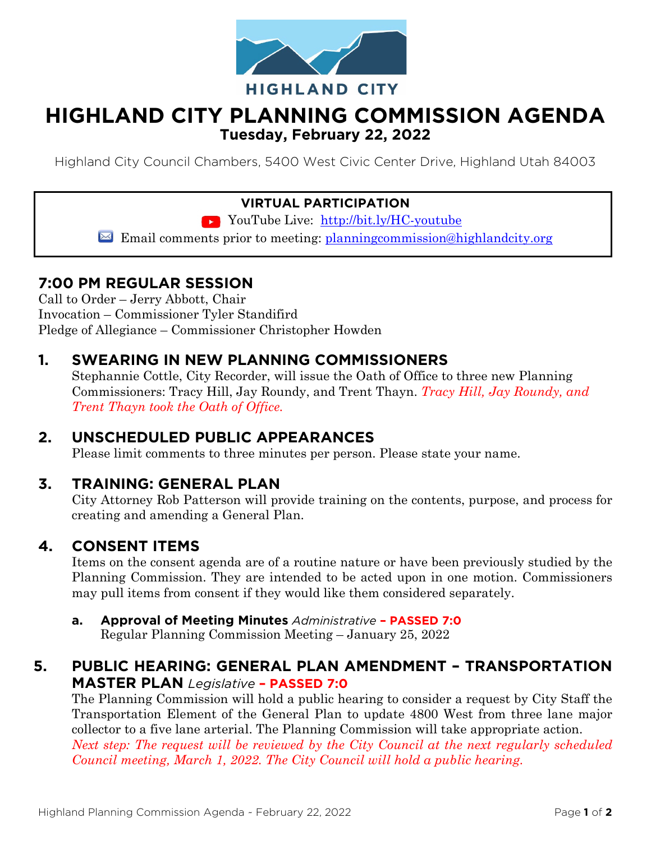

## **HIGHLAND CITY PLANNING COMMISSION AGENDA Tuesday, February 22, 2022**

Highland City Council Chambers, 5400 West Civic Center Drive, Highland Utah 84003

#### **VIRTUAL PARTICIPATION**

YouTube Live: <http://bit.ly/HC-youtube>

Email comments prior to meeting: planning commission@highlandcity.org

### **7:00 PM REGULAR SESSION**

Call to Order – Jerry Abbott, Chair Invocation – Commissioner Tyler Standifird Pledge of Allegiance – Commissioner Christopher Howden

### **1. SWEARING IN NEW PLANNING COMMISSIONERS**

Stephannie Cottle, City Recorder, will issue the Oath of Office to three new Planning Commissioners: Tracy Hill, Jay Roundy, and Trent Thayn. *Tracy Hill, Jay Roundy, and Trent Thayn took the Oath of Office.*

#### **2. UNSCHEDULED PUBLIC APPEARANCES**

Please limit comments to three minutes per person. Please state your name.

#### **3. TRAINING: GENERAL PLAN**

City Attorney Rob Patterson will provide training on the contents, purpose, and process for creating and amending a General Plan.

#### **4. CONSENT ITEMS**

Items on the consent agenda are of a routine nature or have been previously studied by the Planning Commission. They are intended to be acted upon in one motion. Commissioners may pull items from consent if they would like them considered separately.

**a. Approval of Meeting Minutes** *Administrative* **– PASSED 7:0** Regular Planning Commission Meeting – January 25, 2022

### **5. PUBLIC HEARING: GENERAL PLAN AMENDMENT – TRANSPORTATION MASTER PLAN** *Legislative* **– PASSED 7:0**

The Planning Commission will hold a public hearing to consider a request by City Staff the Transportation Element of the General Plan to update 4800 West from three lane major collector to a five lane arterial. The Planning Commission will take appropriate action. *Next step: The request will be reviewed by the City Council at the next regularly scheduled* 

*Council meeting, March 1, 2022. The City Council will hold a public hearing.*